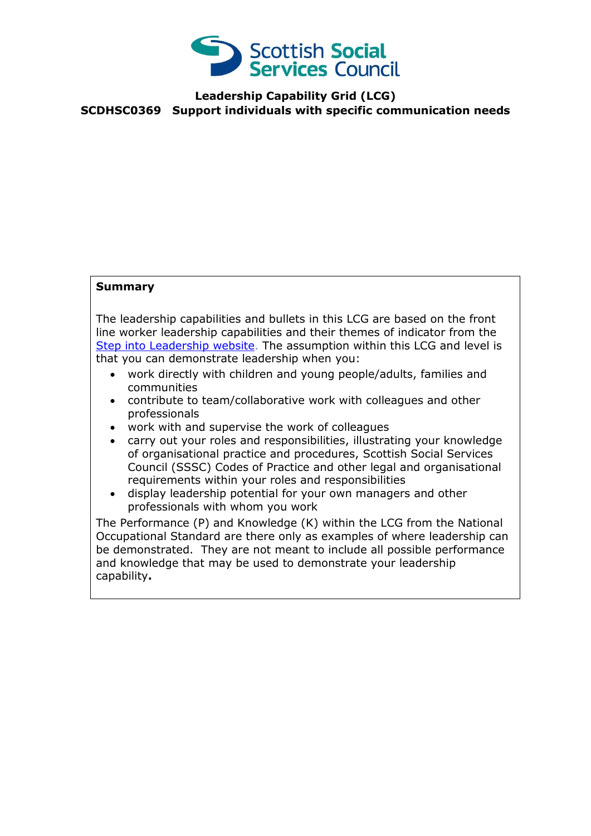

## **Leadership Capability Grid (LCG) SCDHSC0369 Support individuals with specific communication needs**

## **Summary**

The leadership capabilities and bullets in this LCG are based on the front line worker leadership capabilities and their themes of indicator from the [Step into Leadership website.](http://www.stepintoleadership.info/) The assumption within this LCG and level is that you can demonstrate leadership when you:

- work directly with children and young people/adults, families and communities
- contribute to team/collaborative work with colleagues and other professionals
- work with and supervise the work of colleagues
- carry out your roles and responsibilities, illustrating your knowledge of organisational practice and procedures, Scottish Social Services Council (SSSC) Codes of Practice and other legal and organisational requirements within your roles and responsibilities
- display leadership potential for your own managers and other professionals with whom you work

The Performance (P) and Knowledge (K) within the LCG from the National Occupational Standard are there only as examples of where leadership can be demonstrated. They are not meant to include all possible performance and knowledge that may be used to demonstrate your leadership capability**.**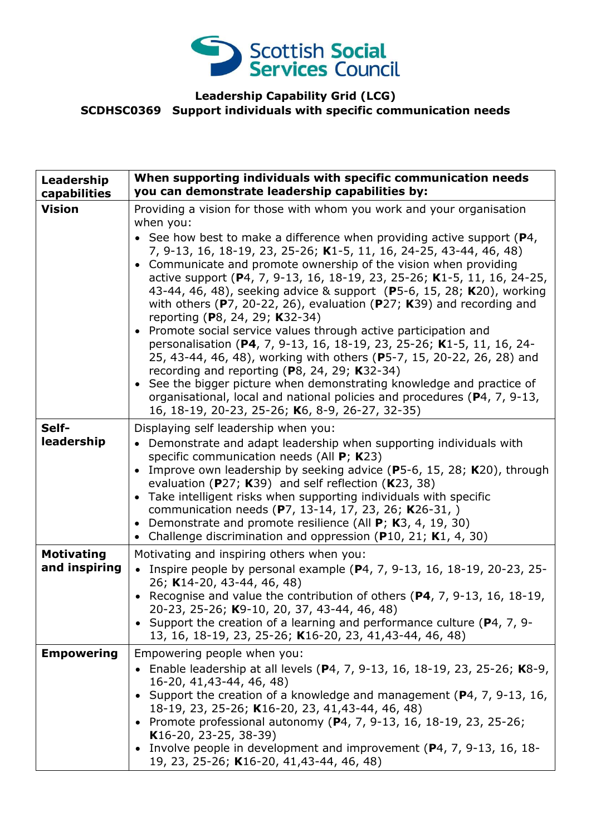

## **Leadership Capability Grid (LCG) SCDHSC0369 Support individuals with specific communication needs**

| Leadership<br>capabilities         | When supporting individuals with specific communication needs<br>you can demonstrate leadership capabilities by:                                                                                                                                                                                                                                                                                                                                                                                                                                                                                                                                                                                                                                                                                                                                                                                                                                                                                                                                                 |
|------------------------------------|------------------------------------------------------------------------------------------------------------------------------------------------------------------------------------------------------------------------------------------------------------------------------------------------------------------------------------------------------------------------------------------------------------------------------------------------------------------------------------------------------------------------------------------------------------------------------------------------------------------------------------------------------------------------------------------------------------------------------------------------------------------------------------------------------------------------------------------------------------------------------------------------------------------------------------------------------------------------------------------------------------------------------------------------------------------|
| <b>Vision</b>                      | Providing a vision for those with whom you work and your organisation<br>when you:<br>• See how best to make a difference when providing active support ( $P_4$ ,<br>7, 9-13, 16, 18-19, 23, 25-26; K1-5, 11, 16, 24-25, 43-44, 46, 48)<br>• Communicate and promote ownership of the vision when providing<br>active support (P4, 7, 9-13, 16, 18-19, 23, 25-26; K1-5, 11, 16, 24-25,<br>43-44, 46, 48), seeking advice & support (P5-6, 15, 28; K20), working<br>with others ( $P$ 7, 20-22, 26), evaluation ( $P$ 27; K39) and recording and<br>reporting (P8, 24, 29; K32-34)<br>Promote social service values through active participation and<br>personalisation (P4, 7, 9-13, 16, 18-19, 23, 25-26; K1-5, 11, 16, 24-<br>25, 43-44, 46, 48), working with others (P5-7, 15, 20-22, 26, 28) and<br>recording and reporting ( $P_8$ , 24, 29; K32-34)<br>See the bigger picture when demonstrating knowledge and practice of<br>organisational, local and national policies and procedures (P4, 7, 9-13,<br>16, 18-19, 20-23, 25-26; K6, 8-9, 26-27, 32-35) |
| Self-<br>leadership                | Displaying self leadership when you:<br>• Demonstrate and adapt leadership when supporting individuals with<br>specific communication needs (All P; K23)<br>Improve own leadership by seeking advice (P5-6, 15, 28; K20), through<br>$\bullet$<br>evaluation ( $P27$ ; K39) and self reflection (K23, 38)<br>Take intelligent risks when supporting individuals with specific<br>communication needs (P7, 13-14, 17, 23, 26; K26-31, )<br>Demonstrate and promote resilience (All P; K3, 4, 19, 30)<br>$\bullet$<br>Challenge discrimination and oppression (P10, 21; K1, 4, 30)<br>$\bullet$                                                                                                                                                                                                                                                                                                                                                                                                                                                                    |
| <b>Motivating</b><br>and inspiring | Motivating and inspiring others when you:<br>• Inspire people by personal example ( $P$ 4, 7, 9-13, 16, 18-19, 20-23, 25-<br>26; K14-20, 43-44, 46, 48)<br>• Recognise and value the contribution of others $(P4, 7, 9-13, 16, 18-19, 18)$<br>20-23, 25-26; K9-10, 20, 37, 43-44, 46, 48)<br>• Support the creation of a learning and performance culture ( $P$ 4, 7, 9-<br>13, 16, 18-19, 23, 25-26; K16-20, 23, 41, 43-44, 46, 48)                                                                                                                                                                                                                                                                                                                                                                                                                                                                                                                                                                                                                             |
| <b>Empowering</b>                  | Empowering people when you:<br>• Enable leadership at all levels (P4, 7, 9-13, 16, 18-19, 23, 25-26; K8-9,<br>16-20, 41, 43-44, 46, 48)<br>Support the creation of a knowledge and management (P4, 7, 9-13, 16,<br>18-19, 23, 25-26; K16-20, 23, 41,43-44, 46, 48)<br>• Promote professional autonomy ( $P4$ , 7, 9-13, 16, 18-19, 23, 25-26;<br>K16-20, 23-25, 38-39)<br>Involve people in development and improvement (P4, 7, 9-13, 16, 18-<br>19, 23, 25-26; K16-20, 41,43-44, 46, 48)                                                                                                                                                                                                                                                                                                                                                                                                                                                                                                                                                                        |